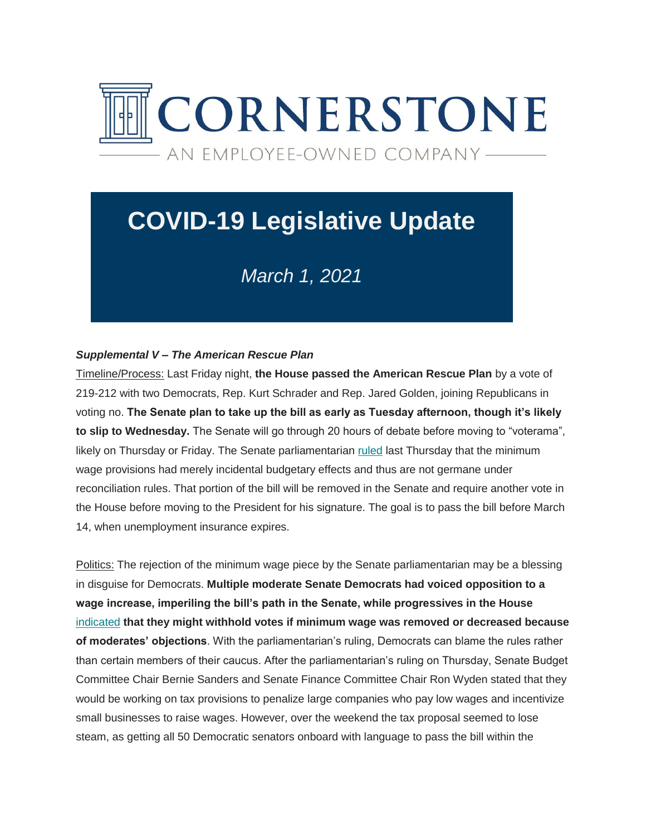

# **COVID-19 Legislative Update**

# *March 1, 2021*

## *Supplemental V – The American Rescue Plan*

Timeline/Process: Last Friday night, **the House passed the American Rescue Plan** by a vote of 219-212 with two Democrats, Rep. Kurt Schrader and Rep. Jared Golden, joining Republicans in voting no. **The Senate plan to take up the bill as early as Tuesday afternoon, though it's likely to slip to Wednesday.** The Senate will go through 20 hours of debate before moving to "voterama", likely on Thursday or Friday. The Senate parliamentarian [ruled](https://cgagroup.us4.list-manage.com/track/click?u=2f96d6beb5306374d2ee2e12a&id=0225646c2f&e=d801520914) last Thursday that the minimum wage provisions had merely incidental budgetary effects and thus are not germane under reconciliation rules. That portion of the bill will be removed in the Senate and require another vote in the House before moving to the President for his signature. The goal is to pass the bill before March 14, when unemployment insurance expires.

Politics: The rejection of the minimum wage piece by the Senate parliamentarian may be a blessing in disguise for Democrats. **Multiple moderate Senate Democrats had voiced opposition to a wage increase, imperiling the bill's path in the Senate, while progressives in the House**  [indicated](https://cgagroup.us4.list-manage.com/track/click?u=2f96d6beb5306374d2ee2e12a&id=1cf26d3c3e&e=d801520914) **that they might withhold votes if minimum wage was removed or decreased because of moderates' objections**. With the parliamentarian's ruling, Democrats can blame the rules rather than certain members of their caucus. After the parliamentarian's ruling on Thursday, Senate Budget Committee Chair Bernie Sanders and Senate Finance Committee Chair Ron Wyden stated that they would be working on tax provisions to penalize large companies who pay low wages and incentivize small businesses to raise wages. However, over the weekend the tax proposal seemed to lose steam, as getting all 50 Democratic senators onboard with language to pass the bill within the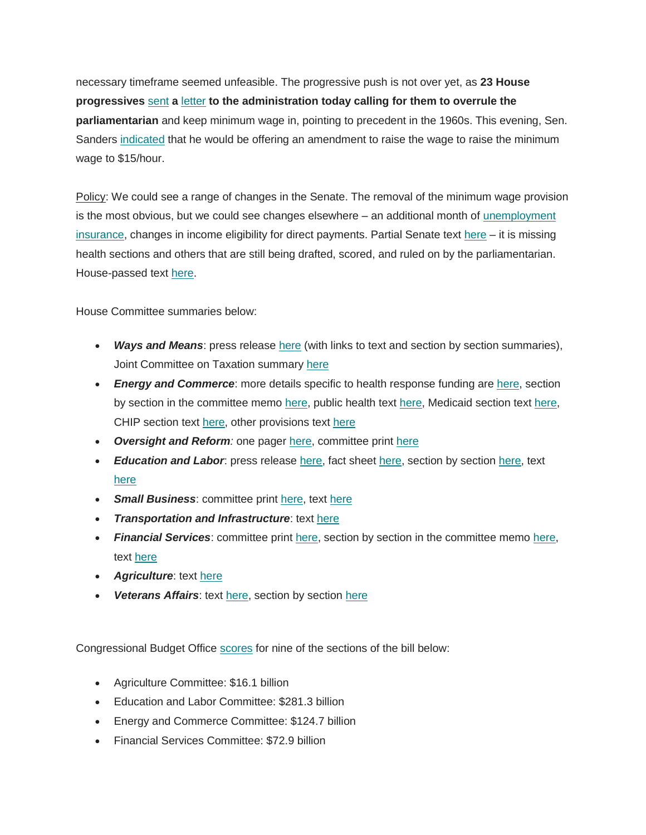necessary timeframe seemed unfeasible. The progressive push is not over yet, as **23 House progressives** [sent](https://cgagroup.us4.list-manage.com/track/click?u=2f96d6beb5306374d2ee2e12a&id=d93ce76fe7&e=d801520914) **a** [letter](https://cgagroup.us4.list-manage.com/track/click?u=2f96d6beb5306374d2ee2e12a&id=1b9bf94a4a&e=d801520914) **to the administration today calling for them to overrule the parliamentarian** and keep minimum wage in, pointing to precedent in the 1960s. This evening, Sen. Sanders [indicated](https://cgagroup.us4.list-manage.com/track/click?u=2f96d6beb5306374d2ee2e12a&id=df10296e6d&e=d801520914) that he would be offering an amendment to raise the wage to raise the minimum wage to \$15/hour.

Policy: We could see a range of changes in the Senate. The removal of the minimum wage provision is the most obvious, but we could see changes elsewhere – an additional month of [unemployment](https://cgagroup.us4.list-manage.com/track/click?u=2f96d6beb5306374d2ee2e12a&id=5c1dbd3998&e=d801520914)  [insurance,](https://cgagroup.us4.list-manage.com/track/click?u=2f96d6beb5306374d2ee2e12a&id=5c1dbd3998&e=d801520914) changes in income eligibility for direct payments. Partial Senate text [here](https://cgagroup.us4.list-manage.com/track/click?u=2f96d6beb5306374d2ee2e12a&id=965a93305c&e=d801520914) – it is missing health sections and others that are still being drafted, scored, and ruled on by the parliamentarian. House-passed text [here.](https://cgagroup.us4.list-manage.com/track/click?u=2f96d6beb5306374d2ee2e12a&id=e6e1f2ac19&e=d801520914)

House Committee summaries below:

- Ways and Means: press release [here](https://cgagroup.us4.list-manage.com/track/click?u=2f96d6beb5306374d2ee2e12a&id=7ba7ce3a4f&e=d801520914) (with links to text and section by section summaries), Joint Committee on Taxation summary [here](https://cgagroup.us4.list-manage.com/track/click?u=2f96d6beb5306374d2ee2e12a&id=fe71ef3dcf&e=d801520914)
- *Energy and Commerce*: more details specific to health response funding are [here,](https://cgagroup.us4.list-manage.com/track/click?u=2f96d6beb5306374d2ee2e12a&id=b732da94e6&e=d801520914) section by section in the committee memo [here,](https://cgagroup.us4.list-manage.com/track/click?u=2f96d6beb5306374d2ee2e12a&id=0f97f9ea0e&e=d801520914) public health text [here,](https://cgagroup.us4.list-manage.com/track/click?u=2f96d6beb5306374d2ee2e12a&id=7304d23a40&e=d801520914) Medicaid section tex[t here,](https://cgagroup.us4.list-manage.com/track/click?u=2f96d6beb5306374d2ee2e12a&id=e0425f7e29&e=d801520914) CHIP section text [here,](https://cgagroup.us4.list-manage.com/track/click?u=2f96d6beb5306374d2ee2e12a&id=6162ad04c0&e=d801520914) other provisions text [here](https://cgagroup.us4.list-manage.com/track/click?u=2f96d6beb5306374d2ee2e12a&id=0d0f1c294b&e=d801520914)
- *Oversight and Reform:* one pager [here,](https://cgagroup.us4.list-manage.com/track/click?u=2f96d6beb5306374d2ee2e12a&id=a60a620fca&e=d801520914) committee print [here](https://cgagroup.us4.list-manage.com/track/click?u=2f96d6beb5306374d2ee2e12a&id=bf8485b6bd&e=d801520914)
- *Education and Labor*: press release [here,](https://cgagroup.us4.list-manage.com/track/click?u=2f96d6beb5306374d2ee2e12a&id=bdb9eb8df9&e=d801520914) fact sheet [here,](https://cgagroup.us4.list-manage.com/track/click?u=2f96d6beb5306374d2ee2e12a&id=7bc56e1618&e=d801520914) section by sectio[n here,](https://cgagroup.us4.list-manage.com/track/click?u=2f96d6beb5306374d2ee2e12a&id=2cf6c040b5&e=d801520914) text [here](https://cgagroup.us4.list-manage.com/track/click?u=2f96d6beb5306374d2ee2e12a&id=27d67ec3fc&e=d801520914)
- **Small Business:** committee print [here,](https://cgagroup.us4.list-manage.com/track/click?u=2f96d6beb5306374d2ee2e12a&id=2bf974926b&e=d801520914) text [here](https://cgagroup.us4.list-manage.com/track/click?u=2f96d6beb5306374d2ee2e12a&id=97529f2724&e=d801520914)
- *Transportation and Infrastructure*: text [here](https://cgagroup.us4.list-manage.com/track/click?u=2f96d6beb5306374d2ee2e12a&id=1ac92a5257&e=d801520914)
- *Financial Services*: committee print [here,](https://cgagroup.us4.list-manage.com/track/click?u=2f96d6beb5306374d2ee2e12a&id=e693daaf0f&e=d801520914) section by section in the committee memo [here,](https://cgagroup.us4.list-manage.com/track/click?u=2f96d6beb5306374d2ee2e12a&id=014fd59285&e=d801520914) text [here](https://cgagroup.us4.list-manage.com/track/click?u=2f96d6beb5306374d2ee2e12a&id=620fdb3f7f&e=d801520914)
- *Agriculture*: text [here](https://cgagroup.us4.list-manage.com/track/click?u=2f96d6beb5306374d2ee2e12a&id=c4e509c914&e=d801520914)
- *Veterans Affairs*: text [here,](https://cgagroup.us4.list-manage.com/track/click?u=2f96d6beb5306374d2ee2e12a&id=8512e8ad0c&e=d801520914) section by section [here](https://cgagroup.us4.list-manage.com/track/click?u=2f96d6beb5306374d2ee2e12a&id=b6b9bf0663&e=d801520914)

Congressional Budget Office [scores](https://cgagroup.us4.list-manage.com/track/click?u=2f96d6beb5306374d2ee2e12a&id=b95bcdc12f&e=d801520914) for nine of the sections of the bill below:

- Agriculture Committee: \$16.1 billion
- Education and Labor Committee: \$281.3 billion
- Energy and Commerce Committee: \$124.7 billion
- Financial Services Committee: \$72.9 billion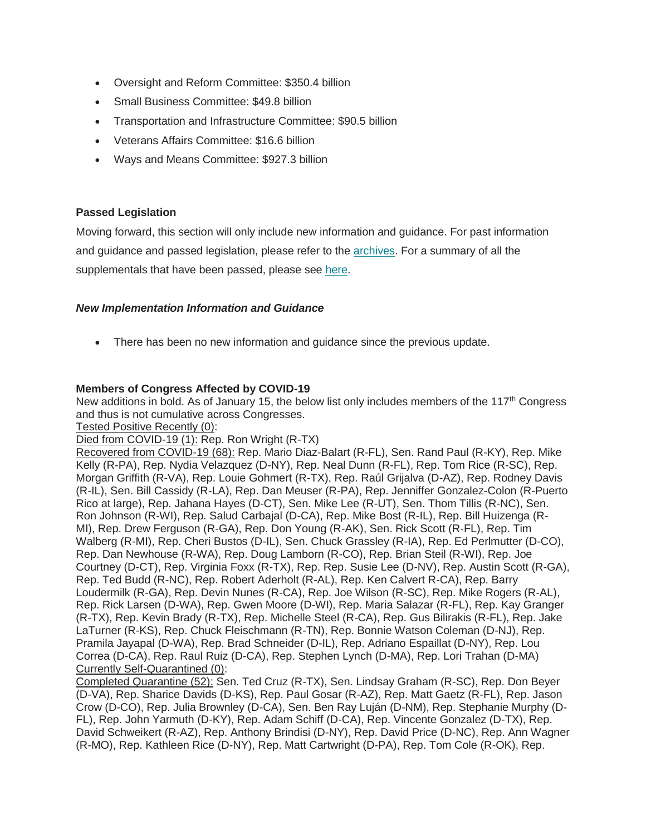- Oversight and Reform Committee: \$350.4 billion
- Small Business Committee: \$49.8 billion
- Transportation and Infrastructure Committee: \$90.5 billion
- Veterans Affairs Committee: \$16.6 billion
- Ways and Means Committee: \$927.3 billion

#### **Passed Legislation**

Moving forward, this section will only include new information and guidance. For past information and guidance and passed legislation, please refer to the [archives.](https://cgagroup.us4.list-manage.com/track/click?u=2f96d6beb5306374d2ee2e12a&id=bde9dc5a85&e=d801520914) For a summary of all the supplementals that have been passed, please see [here.](https://cgagroup.us4.list-manage.com/track/click?u=2f96d6beb5306374d2ee2e12a&id=f414649e11&e=d801520914)

#### *New Implementation Information and Guidance*

There has been no new information and guidance since the previous update.

## **Members of Congress Affected by COVID-19**

New additions in bold. As of January 15, the below list only includes members of the 117<sup>th</sup> Congress and thus is not cumulative across Congresses.

Tested Positive Recently (0):

Died from COVID-19 (1): Rep. Ron Wright (R-TX)

Recovered from COVID-19 (68): Rep. Mario Diaz-Balart (R-FL), Sen. Rand Paul (R-KY), Rep. Mike Kelly (R-PA), Rep. Nydia Velazquez (D-NY), Rep. Neal Dunn (R-FL), Rep. Tom Rice (R-SC), Rep. Morgan Griffith (R-VA), Rep. Louie Gohmert (R-TX), Rep. Raúl Grijalva (D-AZ), Rep. Rodney Davis (R-IL), Sen. Bill Cassidy (R-LA), Rep. Dan Meuser (R-PA), Rep. Jenniffer Gonzalez-Colon (R-Puerto Rico at large), Rep. Jahana Hayes (D-CT), Sen. Mike Lee (R-UT), Sen. Thom Tillis (R-NC), Sen. Ron Johnson (R-WI), Rep. Salud Carbajal (D-CA), Rep. Mike Bost (R-IL), Rep. Bill Huizenga (R-MI), Rep. Drew Ferguson (R-GA), Rep. Don Young (R-AK), Sen. Rick Scott (R-FL), Rep. Tim Walberg (R-MI), Rep. Cheri Bustos (D-IL), Sen. Chuck Grassley (R-IA), Rep. Ed Perlmutter (D-CO), Rep. Dan Newhouse (R-WA), Rep. Doug Lamborn (R-CO), Rep. Brian Steil (R-WI), Rep. Joe Courtney (D-CT), Rep. Virginia Foxx (R-TX), Rep. Rep. Susie Lee (D-NV), Rep. Austin Scott (R-GA), Rep. Ted Budd (R-NC), Rep. Robert Aderholt (R-AL), Rep. Ken Calvert R-CA), Rep. Barry Loudermilk (R-GA), Rep. Devin Nunes (R-CA), Rep. Joe Wilson (R-SC), Rep. Mike Rogers (R-AL), Rep. Rick Larsen (D-WA), Rep. Gwen Moore (D-WI), Rep. Maria Salazar (R-FL), Rep. Kay Granger (R-TX), Rep. Kevin Brady (R-TX), Rep. Michelle Steel (R-CA), Rep. Gus Bilirakis (R-FL), Rep. Jake LaTurner (R-KS), Rep. Chuck Fleischmann (R-TN), Rep. Bonnie Watson Coleman (D-NJ), Rep. Pramila Jayapal (D-WA), Rep. Brad Schneider (D-IL), Rep. Adriano Espaillat (D-NY), Rep. Lou Correa (D-CA), Rep. Raul Ruiz (D-CA), Rep. Stephen Lynch (D-MA), Rep. Lori Trahan (D-MA) Currently Self-Quarantined (0):

Completed Quarantine (52): Sen. Ted Cruz (R-TX), Sen. Lindsay Graham (R-SC), Rep. Don Beyer (D-VA), Rep. Sharice Davids (D-KS), Rep. Paul Gosar (R-AZ), Rep. Matt Gaetz (R-FL), Rep. Jason Crow (D-CO), Rep. Julia Brownley (D-CA), Sen. Ben Ray Luján (D-NM), Rep. Stephanie Murphy (D-FL), Rep. John Yarmuth (D-KY), Rep. Adam Schiff (D-CA), Rep. Vincente Gonzalez (D-TX), Rep. David Schweikert (R-AZ), Rep. Anthony Brindisi (D-NY), Rep. David Price (D-NC), Rep. Ann Wagner (R-MO), Rep. Kathleen Rice (D-NY), Rep. Matt Cartwright (D-PA), Rep. Tom Cole (R-OK), Rep.